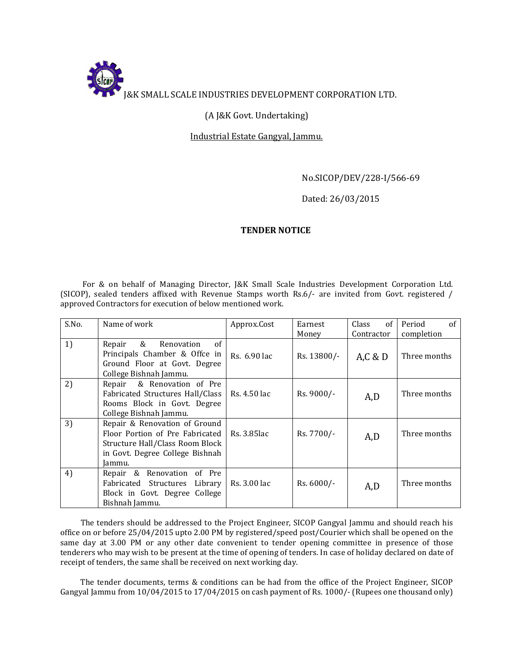

# (A J&K Govt. Undertaking)

## Industrial Estate Gangyal, Jammu.

### No.SICOP/DEV/228-I/566-69

### Dated: 26/03/2015

### TENDER NOTICE

 For & on behalf of Managing Director, J&K Small Scale Industries Development Corporation Ltd. (SICOP), sealed tenders affixed with Revenue Stamps worth Rs.6/- are invited from Govt. registered / approved Contractors for execution of below mentioned work.

| S.No. | Name of work                                                                                                                                     | Approx.Cost  | Earnest<br>Money | Class<br>of<br>Contractor | Period<br>of<br>completion |
|-------|--------------------------------------------------------------------------------------------------------------------------------------------------|--------------|------------------|---------------------------|----------------------------|
| 1)    | &<br>of<br>Repair<br>Renovation<br>Principals Chamber & Offce in<br>Ground Floor at Govt. Degree<br>College Bishnah Jammu.                       | Rs. 6.90 lac | Rs. 13800/-      | A.C & D                   | Three months               |
| 2)    | & Renovation of Pre<br>Repair<br>Fabricated Structures Hall/Class<br>Rooms Block in Govt. Degree<br>College Bishnah Jammu.                       | Rs. 4.50 lac | Rs. 9000/-       | A,D                       | Three months               |
| 3)    | Repair & Renovation of Ground<br>Floor Portion of Pre Fabricated<br>Structure Hall/Class Room Block<br>in Govt. Degree College Bishnah<br>Jammu. | Rs. 3.85lac  | Rs. 7700/-       | A,D                       | Three months               |
| 4)    | Repair & Renovation of Pre<br>Fabricated Structures<br>Library<br>Block in Govt. Degree College<br>Bishnah Jammu.                                | Rs. 3.00 lac | Rs. 6000/-       | A,D                       | Three months               |

 The tenders should be addressed to the Project Engineer, SICOP Gangyal Jammu and should reach his office on or before 25/04/2015 upto 2.00 PM by registered/speed post/Courier which shall be opened on the same day at 3.00 PM or any other date convenient to tender opening committee in presence of those tenderers who may wish to be present at the time of opening of tenders. In case of holiday declared on date of receipt of tenders, the same shall be received on next working day.

 The tender documents, terms & conditions can be had from the office of the Project Engineer, SICOP Gangyal Jammu from 10/04/2015 to 17/04/2015 on cash payment of Rs. 1000/- (Rupees one thousand only)